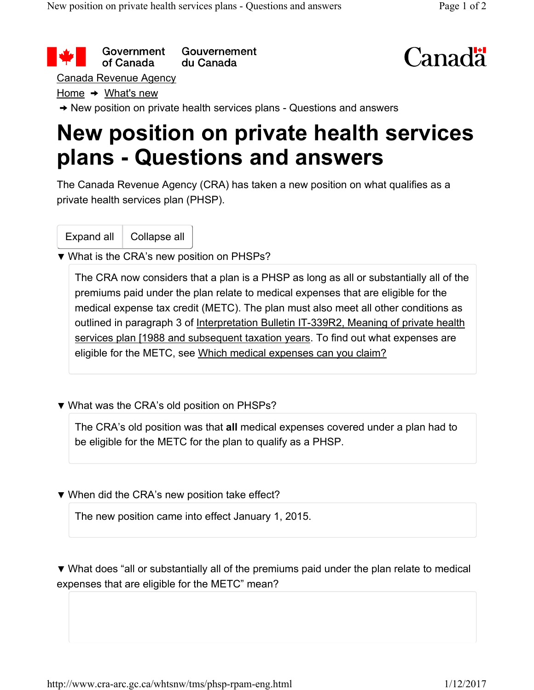Government Gouvernement of Canada du Canada



Canada Revenue Agency

Home  $\rightarrow$  What's new

→ New position on private health services plans - Questions and answers

## **New position on private health services plans - Questions and answers**

The Canada Revenue Agency (CRA) has taken a new position on what qualifies as a private health services plan (PHSP).

Expand all | Collapse all

▼ What is the CRA's new position on PHSPs?

The CRA now considers that a plan is a PHSP as long as all or substantially all of the premiums paid under the plan relate to medical expenses that are eligible for the medical expense tax credit (METC). The plan must also meet all other conditions as outlined in paragraph 3 of Interpretation Bulletin IT-339R2, Meaning of private health services plan [1988 and subsequent taxation years. To find out what expenses are eligible for the METC, see Which medical expenses can you claim?

▼ What was the CRA's old position on PHSPs?

The CRA's old position was that **all** medical expenses covered under a plan had to be eligible for the METC for the plan to qualify as a PHSP.

▼ When did the CRA's new position take effect?

The new position came into effect January 1, 2015.

▼ What does "all or substantially all of the premiums paid under the plan relate to medical expenses that are eligible for the METC" mean?